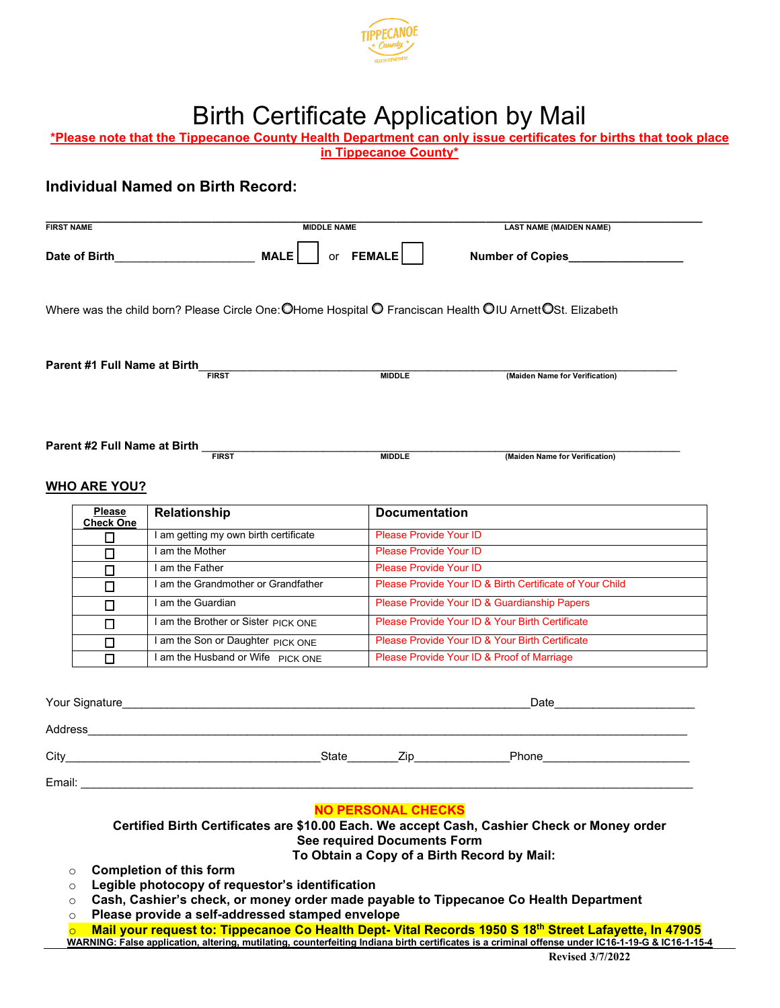

## Birth Certificate Application by Mail

|                                                                                                                                                  | or $FEMALE$                                              | Number of Copies                                         |
|--------------------------------------------------------------------------------------------------------------------------------------------------|----------------------------------------------------------|----------------------------------------------------------|
| Where was the child born? Please Circle One: $\bigcirc$ Home Hospital $\bigcirc$ Franciscan Health $\bigcirc$ IU Arnett $\bigcirc$ St. Elizabeth |                                                          |                                                          |
| Parent #1 Full Name at Birth<br><b>FIRST</b>                                                                                                     | <b>MIDDLE</b>                                            | (Maiden Name for Verification)                           |
| Parent #2 Full Name at Birth _                                                                                                                   |                                                          |                                                          |
| <b>FIRST</b>                                                                                                                                     | <b>MIDDLE</b>                                            | (Maiden Name for Verification)                           |
| <b>WHO ARE YOU?</b>                                                                                                                              |                                                          |                                                          |
| <b>Please</b><br>Relationship                                                                                                                    | <b>Documentation</b>                                     |                                                          |
| <b>Check One</b><br>I am getting my own birth certificate<br>Π                                                                                   | Please Provide Your ID                                   |                                                          |
| I am the Mother<br>◻                                                                                                                             | <b>Please Provide Your ID</b>                            |                                                          |
| I am the Father<br>□                                                                                                                             | <b>Please Provide Your ID</b>                            |                                                          |
| I am the Grandmother or Grandfather<br>□                                                                                                         |                                                          | Please Provide Your ID & Birth Certificate of Your Child |
| I am the Guardian<br>□                                                                                                                           |                                                          | Please Provide Your ID & Guardianship Papers             |
| I am the Brother or Sister PICK ONE<br>◻                                                                                                         |                                                          | Please Provide Your ID & Your Birth Certificate          |
| I am the Son or Daughter PICK ONE<br>□                                                                                                           |                                                          | Please Provide Your ID & Your Birth Certificate          |
| I am the Husband or Wife PICK ONE<br>□                                                                                                           |                                                          | Please Provide Your ID & Proof of Marriage               |
|                                                                                                                                                  |                                                          |                                                          |
| Your Signature                                                                                                                                   |                                                          | Date                                                     |
|                                                                                                                                                  |                                                          |                                                          |
|                                                                                                                                                  |                                                          |                                                          |
|                                                                                                                                                  |                                                          |                                                          |
|                                                                                                                                                  |                                                          |                                                          |
| Certified Birth Certificates are \$10.00 Each. We accept Cash, Cashier Check or Money order                                                      | <b>NO PERSONAL CHECKS</b><br>See required Documents Form | To Obtain a Copy of a Birth Record by Mail:              |

<mark>○ Mail your request to: Tippecanoe Co Health Dept- Vital Records 1950 S 18<sup>th</sup> Street Lafayette, In 47905<br>WARNING: False application, altering, mutilating, counterfeiting Indiana birth certificates is a criminal offense</mark>